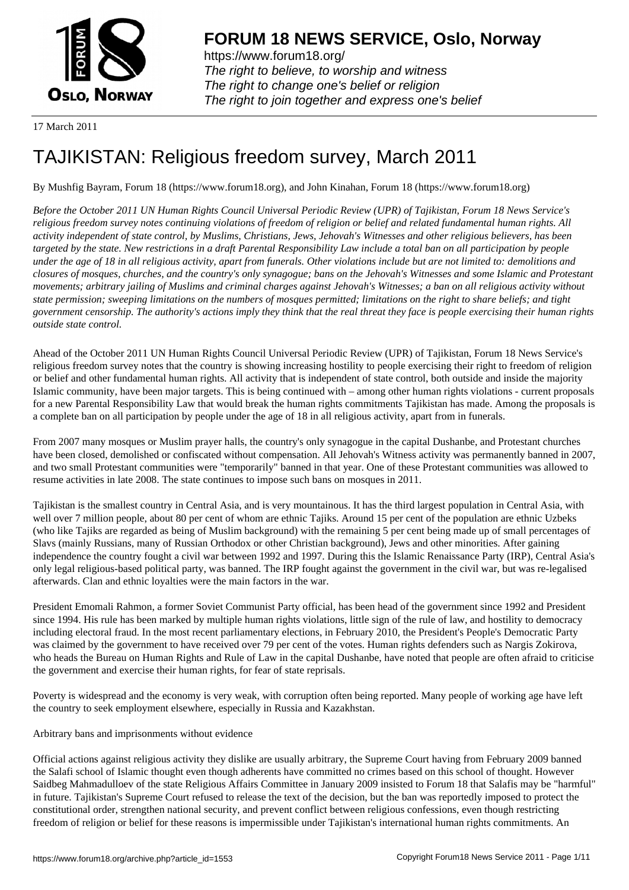

https://www.forum18.org/ The right to believe, to worship and witness The right to change one's belief or religion [The right to join together a](https://www.forum18.org/)nd express one's belief

17 March 2011

# [TAJIKISTAN: R](https://www.forum18.org)eligious freedom survey, March 2011

By Mushfig Bayram, Forum 18 (https://www.forum18.org), and John Kinahan, Forum 18 (https://www.forum18.org)

*Before the October 2011 UN Human Rights Council Universal Periodic Review (UPR) of Tajikistan, Forum 18 News Service's religious freedom survey notes continuing violations of freedom of religion or belief and related fundamental human rights. All activity independent of state control, by Muslims, Christians, Jews, Jehovah's Witnesses and other religious believers, has been targeted by the state. New restrictions in a draft Parental Responsibility Law include a total ban on all participation by people under the age of 18 in all religious activity, apart from funerals. Other violations include but are not limited to: demolitions and closures of mosques, churches, and the country's only synagogue; bans on the Jehovah's Witnesses and some Islamic and Protestant movements; arbitrary jailing of Muslims and criminal charges against Jehovah's Witnesses; a ban on all religious activity without state permission; sweeping limitations on the numbers of mosques permitted; limitations on the right to share beliefs; and tight government censorship. The authority's actions imply they think that the real threat they face is people exercising their human rights outside state control.*

Ahead of the October 2011 UN Human Rights Council Universal Periodic Review (UPR) of Tajikistan, Forum 18 News Service's religious freedom survey notes that the country is showing increasing hostility to people exercising their right to freedom of religion or belief and other fundamental human rights. All activity that is independent of state control, both outside and inside the majority Islamic community, have been major targets. This is being continued with – among other human rights violations - current proposals for a new Parental Responsibility Law that would break the human rights commitments Tajikistan has made. Among the proposals is a complete ban on all participation by people under the age of 18 in all religious activity, apart from in funerals.

From 2007 many mosques or Muslim prayer halls, the country's only synagogue in the capital Dushanbe, and Protestant churches have been closed, demolished or confiscated without compensation. All Jehovah's Witness activity was permanently banned in 2007, and two small Protestant communities were "temporarily" banned in that year. One of these Protestant communities was allowed to resume activities in late 2008. The state continues to impose such bans on mosques in 2011.

Tajikistan is the smallest country in Central Asia, and is very mountainous. It has the third largest population in Central Asia, with well over 7 million people, about 80 per cent of whom are ethnic Tajiks. Around 15 per cent of the population are ethnic Uzbeks (who like Tajiks are regarded as being of Muslim background) with the remaining 5 per cent being made up of small percentages of Slavs (mainly Russians, many of Russian Orthodox or other Christian background), Jews and other minorities. After gaining independence the country fought a civil war between 1992 and 1997. During this the Islamic Renaissance Party (IRP), Central Asia's only legal religious-based political party, was banned. The IRP fought against the government in the civil war, but was re-legalised afterwards. Clan and ethnic loyalties were the main factors in the war.

President Emomali Rahmon, a former Soviet Communist Party official, has been head of the government since 1992 and President since 1994. His rule has been marked by multiple human rights violations, little sign of the rule of law, and hostility to democracy including electoral fraud. In the most recent parliamentary elections, in February 2010, the President's People's Democratic Party was claimed by the government to have received over 79 per cent of the votes. Human rights defenders such as Nargis Zokirova, who heads the Bureau on Human Rights and Rule of Law in the capital Dushanbe, have noted that people are often afraid to criticise the government and exercise their human rights, for fear of state reprisals.

Poverty is widespread and the economy is very weak, with corruption often being reported. Many people of working age have left the country to seek employment elsewhere, especially in Russia and Kazakhstan.

### Arbitrary bans and imprisonments without evidence

Official actions against religious activity they dislike are usually arbitrary, the Supreme Court having from February 2009 banned the Salafi school of Islamic thought even though adherents have committed no crimes based on this school of thought. However Saidbeg Mahmadulloev of the state Religious Affairs Committee in January 2009 insisted to Forum 18 that Salafis may be "harmful" in future. Tajikistan's Supreme Court refused to release the text of the decision, but the ban was reportedly imposed to protect the constitutional order, strengthen national security, and prevent conflict between religious confessions, even though restricting freedom of religion or belief for these reasons is impermissible under Tajikistan's international human rights commitments. An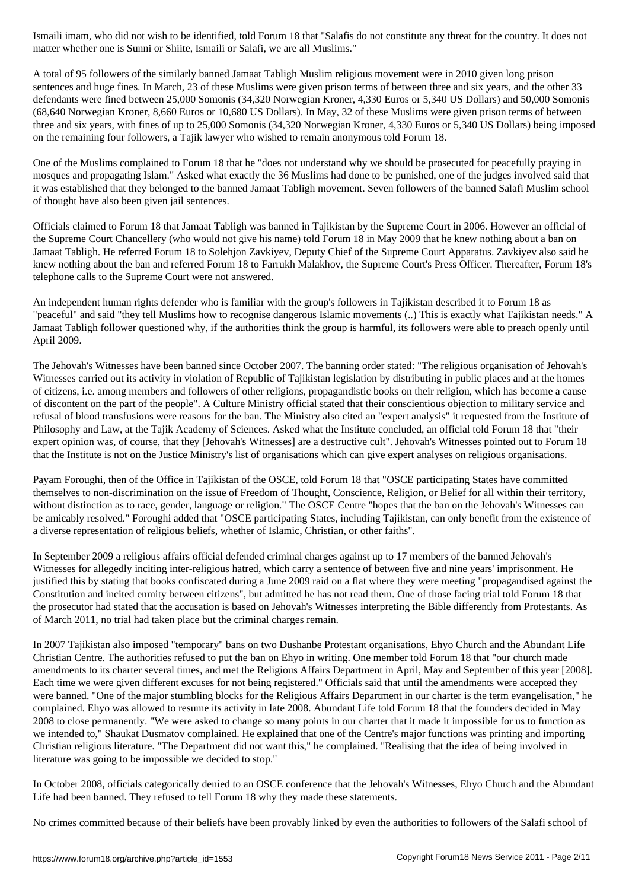A total of 95 followers of the similarly banned Jamaat Tabligh Muslim religious movement were in 2010 given long prison sentences and huge fines. In March, 23 of these Muslims were given prison terms of between three and six years, and the other 33 defendants were fined between 25,000 Somonis (34,320 Norwegian Kroner, 4,330 Euros or 5,340 US Dollars) and 50,000 Somonis (68,640 Norwegian Kroner, 8,660 Euros or 10,680 US Dollars). In May, 32 of these Muslims were given prison terms of between three and six years, with fines of up to 25,000 Somonis (34,320 Norwegian Kroner, 4,330 Euros or 5,340 US Dollars) being imposed on the remaining four followers, a Tajik lawyer who wished to remain anonymous told Forum 18.

matter whether one is Sunni or Shiite, Ismaili or Salafi, we are all  $\ell$ 

One of the Muslims complained to Forum 18 that he "does not understand why we should be prosecuted for peacefully praying in mosques and propagating Islam." Asked what exactly the 36 Muslims had done to be punished, one of the judges involved said that it was established that they belonged to the banned Jamaat Tabligh movement. Seven followers of the banned Salafi Muslim school of thought have also been given jail sentences.

Officials claimed to Forum 18 that Jamaat Tabligh was banned in Tajikistan by the Supreme Court in 2006. However an official of the Supreme Court Chancellery (who would not give his name) told Forum 18 in May 2009 that he knew nothing about a ban on Jamaat Tabligh. He referred Forum 18 to Solehjon Zavkiyev, Deputy Chief of the Supreme Court Apparatus. Zavkiyev also said he knew nothing about the ban and referred Forum 18 to Farrukh Malakhov, the Supreme Court's Press Officer. Thereafter, Forum 18's telephone calls to the Supreme Court were not answered.

An independent human rights defender who is familiar with the group's followers in Tajikistan described it to Forum 18 as "peaceful" and said "they tell Muslims how to recognise dangerous Islamic movements (..) This is exactly what Tajikistan needs." A Jamaat Tabligh follower questioned why, if the authorities think the group is harmful, its followers were able to preach openly until April 2009.

The Jehovah's Witnesses have been banned since October 2007. The banning order stated: "The religious organisation of Jehovah's Witnesses carried out its activity in violation of Republic of Tajikistan legislation by distributing in public places and at the homes of citizens, i.e. among members and followers of other religions, propagandistic books on their religion, which has become a cause of discontent on the part of the people". A Culture Ministry official stated that their conscientious objection to military service and refusal of blood transfusions were reasons for the ban. The Ministry also cited an "expert analysis" it requested from the Institute of Philosophy and Law, at the Tajik Academy of Sciences. Asked what the Institute concluded, an official told Forum 18 that "their expert opinion was, of course, that they [Jehovah's Witnesses] are a destructive cult". Jehovah's Witnesses pointed out to Forum 18 that the Institute is not on the Justice Ministry's list of organisations which can give expert analyses on religious organisations.

Payam Foroughi, then of the Office in Tajikistan of the OSCE, told Forum 18 that "OSCE participating States have committed themselves to non-discrimination on the issue of Freedom of Thought, Conscience, Religion, or Belief for all within their territory, without distinction as to race, gender, language or religion." The OSCE Centre "hopes that the ban on the Jehovah's Witnesses can be amicably resolved." Foroughi added that "OSCE participating States, including Tajikistan, can only benefit from the existence of a diverse representation of religious beliefs, whether of Islamic, Christian, or other faiths".

In September 2009 a religious affairs official defended criminal charges against up to 17 members of the banned Jehovah's Witnesses for allegedly inciting inter-religious hatred, which carry a sentence of between five and nine years' imprisonment. He justified this by stating that books confiscated during a June 2009 raid on a flat where they were meeting "propagandised against the Constitution and incited enmity between citizens", but admitted he has not read them. One of those facing trial told Forum 18 that the prosecutor had stated that the accusation is based on Jehovah's Witnesses interpreting the Bible differently from Protestants. As of March 2011, no trial had taken place but the criminal charges remain.

In 2007 Tajikistan also imposed "temporary" bans on two Dushanbe Protestant organisations, Ehyo Church and the Abundant Life Christian Centre. The authorities refused to put the ban on Ehyo in writing. One member told Forum 18 that "our church made amendments to its charter several times, and met the Religious Affairs Department in April, May and September of this year [2008]. Each time we were given different excuses for not being registered." Officials said that until the amendments were accepted they were banned. "One of the major stumbling blocks for the Religious Affairs Department in our charter is the term evangelisation," he complained. Ehyo was allowed to resume its activity in late 2008. Abundant Life told Forum 18 that the founders decided in May 2008 to close permanently. "We were asked to change so many points in our charter that it made it impossible for us to function as we intended to," Shaukat Dusmatov complained. He explained that one of the Centre's major functions was printing and importing Christian religious literature. "The Department did not want this," he complained. "Realising that the idea of being involved in literature was going to be impossible we decided to stop."

In October 2008, officials categorically denied to an OSCE conference that the Jehovah's Witnesses, Ehyo Church and the Abundant Life had been banned. They refused to tell Forum 18 why they made these statements.

No crimes committed because of their beliefs have been provably linked by even the authorities to followers of the Salafi school of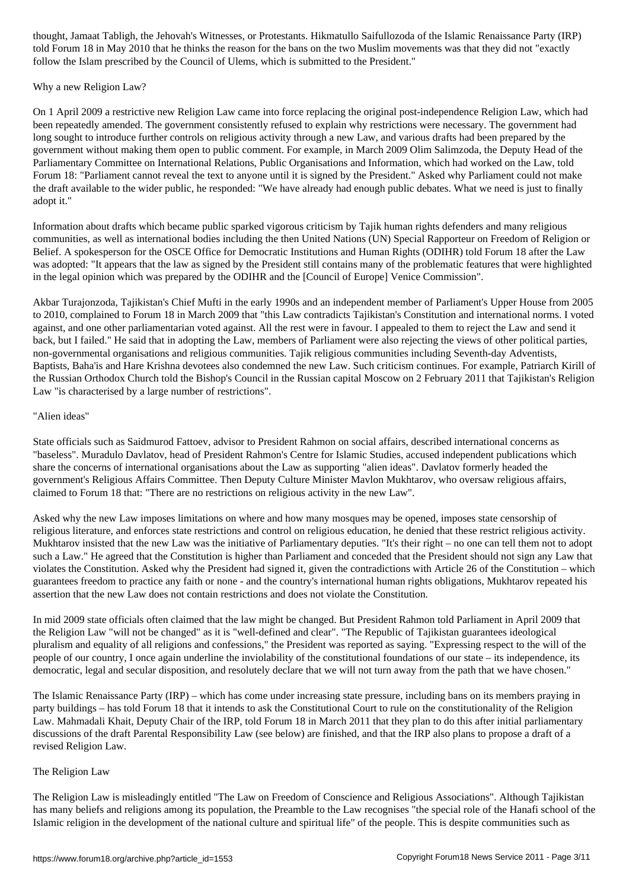told Forum 18 in May 2010 that he thinks the reason for the two Muslim movements was that they did not "exactly movements" was that they did not "exactly movements" was that they did not "exactly movements" was that they follow the Islam prescribed by the Council of Ulems, which is submitted to the President."

Why a new Religion Law?

On 1 April 2009 a restrictive new Religion Law came into force replacing the original post-independence Religion Law, which had been repeatedly amended. The government consistently refused to explain why restrictions were necessary. The government had long sought to introduce further controls on religious activity through a new Law, and various drafts had been prepared by the government without making them open to public comment. For example, in March 2009 Olim Salimzoda, the Deputy Head of the Parliamentary Committee on International Relations, Public Organisations and Information, which had worked on the Law, told Forum 18: "Parliament cannot reveal the text to anyone until it is signed by the President." Asked why Parliament could not make the draft available to the wider public, he responded: "We have already had enough public debates. What we need is just to finally adopt it."

Information about drafts which became public sparked vigorous criticism by Tajik human rights defenders and many religious communities, as well as international bodies including the then United Nations (UN) Special Rapporteur on Freedom of Religion or Belief. A spokesperson for the OSCE Office for Democratic Institutions and Human Rights (ODIHR) told Forum 18 after the Law was adopted: "It appears that the law as signed by the President still contains many of the problematic features that were highlighted in the legal opinion which was prepared by the ODIHR and the [Council of Europe] Venice Commission".

Akbar Turajonzoda, Tajikistan's Chief Mufti in the early 1990s and an independent member of Parliament's Upper House from 2005 to 2010, complained to Forum 18 in March 2009 that "this Law contradicts Tajikistan's Constitution and international norms. I voted against, and one other parliamentarian voted against. All the rest were in favour. I appealed to them to reject the Law and send it back, but I failed." He said that in adopting the Law, members of Parliament were also rejecting the views of other political parties, non-governmental organisations and religious communities. Tajik religious communities including Seventh-day Adventists, Baptists, Baha'is and Hare Krishna devotees also condemned the new Law. Such criticism continues. For example, Patriarch Kirill of the Russian Orthodox Church told the Bishop's Council in the Russian capital Moscow on 2 February 2011 that Tajikistan's Religion Law "is characterised by a large number of restrictions".

### "Alien ideas"

State officials such as Saidmurod Fattoev, advisor to President Rahmon on social affairs, described international concerns as "baseless". Muradulo Davlatov, head of President Rahmon's Centre for Islamic Studies, accused independent publications which share the concerns of international organisations about the Law as supporting "alien ideas". Davlatov formerly headed the government's Religious Affairs Committee. Then Deputy Culture Minister Mavlon Mukhtarov, who oversaw religious affairs, claimed to Forum 18 that: "There are no restrictions on religious activity in the new Law".

Asked why the new Law imposes limitations on where and how many mosques may be opened, imposes state censorship of religious literature, and enforces state restrictions and control on religious education, he denied that these restrict religious activity. Mukhtarov insisted that the new Law was the initiative of Parliamentary deputies. "It's their right – no one can tell them not to adopt such a Law." He agreed that the Constitution is higher than Parliament and conceded that the President should not sign any Law that violates the Constitution. Asked why the President had signed it, given the contradictions with Article 26 of the Constitution – which guarantees freedom to practice any faith or none - and the country's international human rights obligations, Mukhtarov repeated his assertion that the new Law does not contain restrictions and does not violate the Constitution.

In mid 2009 state officials often claimed that the law might be changed. But President Rahmon told Parliament in April 2009 that the Religion Law "will not be changed" as it is "well-defined and clear". "The Republic of Tajikistan guarantees ideological pluralism and equality of all religions and confessions," the President was reported as saying. "Expressing respect to the will of the people of our country, I once again underline the inviolability of the constitutional foundations of our state – its independence, its democratic, legal and secular disposition, and resolutely declare that we will not turn away from the path that we have chosen."

The Islamic Renaissance Party (IRP) – which has come under increasing state pressure, including bans on its members praying in party buildings – has told Forum 18 that it intends to ask the Constitutional Court to rule on the constitutionality of the Religion Law. Mahmadali Khait, Deputy Chair of the IRP, told Forum 18 in March 2011 that they plan to do this after initial parliamentary discussions of the draft Parental Responsibility Law (see below) are finished, and that the IRP also plans to propose a draft of a revised Religion Law.

### The Religion Law

The Religion Law is misleadingly entitled "The Law on Freedom of Conscience and Religious Associations". Although Tajikistan has many beliefs and religions among its population, the Preamble to the Law recognises "the special role of the Hanafi school of the Islamic religion in the development of the national culture and spiritual life" of the people. This is despite communities such as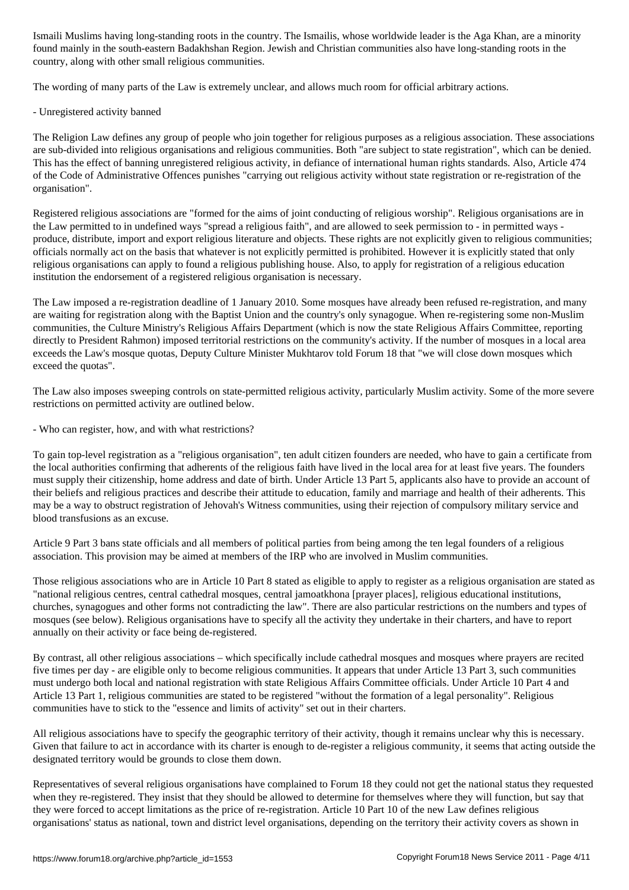found mainly in the south-eastern Badakhshan Region. Jewish and Christian communities also have long-standing roots in the country, along with other small religious communities.

The wording of many parts of the Law is extremely unclear, and allows much room for official arbitrary actions.

- Unregistered activity banned

The Religion Law defines any group of people who join together for religious purposes as a religious association. These associations are sub-divided into religious organisations and religious communities. Both "are subject to state registration", which can be denied. This has the effect of banning unregistered religious activity, in defiance of international human rights standards. Also, Article 474 of the Code of Administrative Offences punishes "carrying out religious activity without state registration or re-registration of the organisation".

Registered religious associations are "formed for the aims of joint conducting of religious worship". Religious organisations are in the Law permitted to in undefined ways "spread a religious faith", and are allowed to seek permission to - in permitted ways produce, distribute, import and export religious literature and objects. These rights are not explicitly given to religious communities; officials normally act on the basis that whatever is not explicitly permitted is prohibited. However it is explicitly stated that only religious organisations can apply to found a religious publishing house. Also, to apply for registration of a religious education institution the endorsement of a registered religious organisation is necessary.

The Law imposed a re-registration deadline of 1 January 2010. Some mosques have already been refused re-registration, and many are waiting for registration along with the Baptist Union and the country's only synagogue. When re-registering some non-Muslim communities, the Culture Ministry's Religious Affairs Department (which is now the state Religious Affairs Committee, reporting directly to President Rahmon) imposed territorial restrictions on the community's activity. If the number of mosques in a local area exceeds the Law's mosque quotas, Deputy Culture Minister Mukhtarov told Forum 18 that "we will close down mosques which exceed the quotas".

The Law also imposes sweeping controls on state-permitted religious activity, particularly Muslim activity. Some of the more severe restrictions on permitted activity are outlined below.

- Who can register, how, and with what restrictions?

To gain top-level registration as a "religious organisation", ten adult citizen founders are needed, who have to gain a certificate from the local authorities confirming that adherents of the religious faith have lived in the local area for at least five years. The founders must supply their citizenship, home address and date of birth. Under Article 13 Part 5, applicants also have to provide an account of their beliefs and religious practices and describe their attitude to education, family and marriage and health of their adherents. This may be a way to obstruct registration of Jehovah's Witness communities, using their rejection of compulsory military service and blood transfusions as an excuse.

Article 9 Part 3 bans state officials and all members of political parties from being among the ten legal founders of a religious association. This provision may be aimed at members of the IRP who are involved in Muslim communities.

Those religious associations who are in Article 10 Part 8 stated as eligible to apply to register as a religious organisation are stated as "national religious centres, central cathedral mosques, central jamoatkhona [prayer places], religious educational institutions, churches, synagogues and other forms not contradicting the law". There are also particular restrictions on the numbers and types of mosques (see below). Religious organisations have to specify all the activity they undertake in their charters, and have to report annually on their activity or face being de-registered.

By contrast, all other religious associations – which specifically include cathedral mosques and mosques where prayers are recited five times per day - are eligible only to become religious communities. It appears that under Article 13 Part 3, such communities must undergo both local and national registration with state Religious Affairs Committee officials. Under Article 10 Part 4 and Article 13 Part 1, religious communities are stated to be registered "without the formation of a legal personality". Religious communities have to stick to the "essence and limits of activity" set out in their charters.

All religious associations have to specify the geographic territory of their activity, though it remains unclear why this is necessary. Given that failure to act in accordance with its charter is enough to de-register a religious community, it seems that acting outside the designated territory would be grounds to close them down.

Representatives of several religious organisations have complained to Forum 18 they could not get the national status they requested when they re-registered. They insist that they should be allowed to determine for themselves where they will function, but say that they were forced to accept limitations as the price of re-registration. Article 10 Part 10 of the new Law defines religious organisations' status as national, town and district level organisations, depending on the territory their activity covers as shown in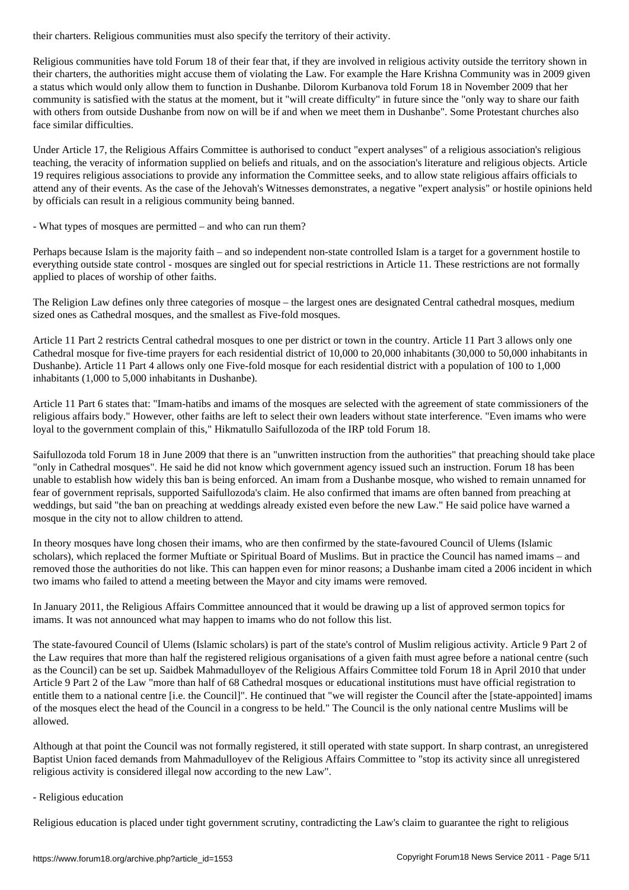Religious communities have told Forum 18 of their fear that, if they are involved in religious activity outside the territory shown in their charters, the authorities might accuse them of violating the Law. For example the Hare Krishna Community was in 2009 given a status which would only allow them to function in Dushanbe. Dilorom Kurbanova told Forum 18 in November 2009 that her community is satisfied with the status at the moment, but it "will create difficulty" in future since the "only way to share our faith with others from outside Dushanbe from now on will be if and when we meet them in Dushanbe". Some Protestant churches also face similar difficulties.

Under Article 17, the Religious Affairs Committee is authorised to conduct "expert analyses" of a religious association's religious teaching, the veracity of information supplied on beliefs and rituals, and on the association's literature and religious objects. Article 19 requires religious associations to provide any information the Committee seeks, and to allow state religious affairs officials to attend any of their events. As the case of the Jehovah's Witnesses demonstrates, a negative "expert analysis" or hostile opinions held by officials can result in a religious community being banned.

- What types of mosques are permitted – and who can run them?

Perhaps because Islam is the majority faith – and so independent non-state controlled Islam is a target for a government hostile to everything outside state control - mosques are singled out for special restrictions in Article 11. These restrictions are not formally applied to places of worship of other faiths.

The Religion Law defines only three categories of mosque – the largest ones are designated Central cathedral mosques, medium sized ones as Cathedral mosques, and the smallest as Five-fold mosques.

Article 11 Part 2 restricts Central cathedral mosques to one per district or town in the country. Article 11 Part 3 allows only one Cathedral mosque for five-time prayers for each residential district of 10,000 to 20,000 inhabitants (30,000 to 50,000 inhabitants in Dushanbe). Article 11 Part 4 allows only one Five-fold mosque for each residential district with a population of 100 to 1,000 inhabitants (1,000 to 5,000 inhabitants in Dushanbe).

Article 11 Part 6 states that: "Imam-hatibs and imams of the mosques are selected with the agreement of state commissioners of the religious affairs body." However, other faiths are left to select their own leaders without state interference. "Even imams who were loyal to the government complain of this," Hikmatullo Saifullozoda of the IRP told Forum 18.

Saifullozoda told Forum 18 in June 2009 that there is an "unwritten instruction from the authorities" that preaching should take place "only in Cathedral mosques". He said he did not know which government agency issued such an instruction. Forum 18 has been unable to establish how widely this ban is being enforced. An imam from a Dushanbe mosque, who wished to remain unnamed for fear of government reprisals, supported Saifullozoda's claim. He also confirmed that imams are often banned from preaching at weddings, but said "the ban on preaching at weddings already existed even before the new Law." He said police have warned a mosque in the city not to allow children to attend.

In theory mosques have long chosen their imams, who are then confirmed by the state-favoured Council of Ulems (Islamic scholars), which replaced the former Muftiate or Spiritual Board of Muslims. But in practice the Council has named imams – and removed those the authorities do not like. This can happen even for minor reasons; a Dushanbe imam cited a 2006 incident in which two imams who failed to attend a meeting between the Mayor and city imams were removed.

In January 2011, the Religious Affairs Committee announced that it would be drawing up a list of approved sermon topics for imams. It was not announced what may happen to imams who do not follow this list.

The state-favoured Council of Ulems (Islamic scholars) is part of the state's control of Muslim religious activity. Article 9 Part 2 of the Law requires that more than half the registered religious organisations of a given faith must agree before a national centre (such as the Council) can be set up. Saidbek Mahmadulloyev of the Religious Affairs Committee told Forum 18 in April 2010 that under Article 9 Part 2 of the Law "more than half of 68 Cathedral mosques or educational institutions must have official registration to entitle them to a national centre [i.e. the Council]". He continued that "we will register the Council after the [state-appointed] imams of the mosques elect the head of the Council in a congress to be held." The Council is the only national centre Muslims will be allowed.

Although at that point the Council was not formally registered, it still operated with state support. In sharp contrast, an unregistered Baptist Union faced demands from Mahmadulloyev of the Religious Affairs Committee to "stop its activity since all unregistered religious activity is considered illegal now according to the new Law".

### - Religious education

Religious education is placed under tight government scrutiny, contradicting the Law's claim to guarantee the right to religious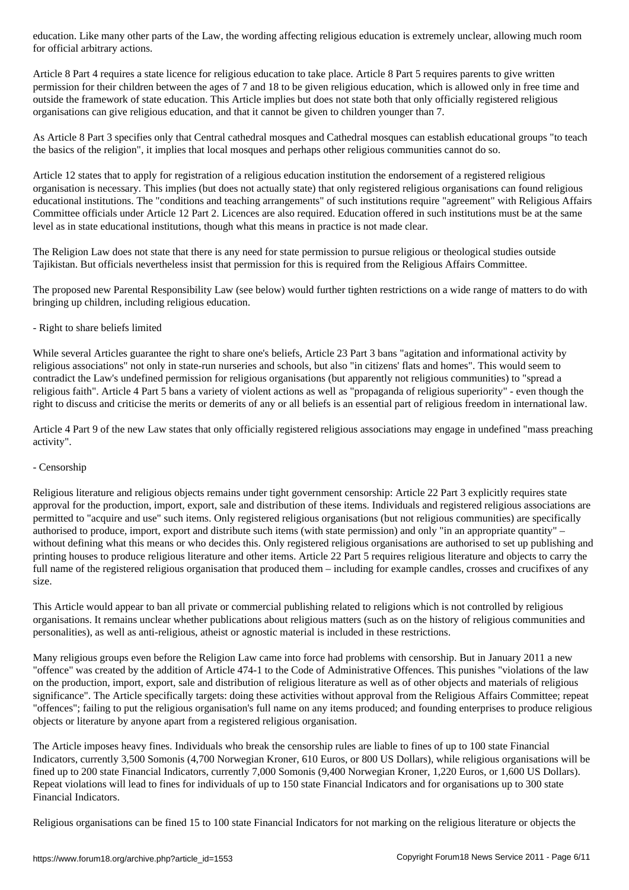for official arbitrary actions. Article 8 Part 4 requires a state licence for religious education to take place. Article 8 Part 5 requires parents to give written permission for their children between the ages of 7 and 18 to be given religious education, which is allowed only in free time and outside the framework of state education. This Article implies but does not state both that only officially registered religious organisations can give religious education, and that it cannot be given to children younger than 7.

As Article 8 Part 3 specifies only that Central cathedral mosques and Cathedral mosques can establish educational groups "to teach the basics of the religion", it implies that local mosques and perhaps other religious communities cannot do so.

Article 12 states that to apply for registration of a religious education institution the endorsement of a registered religious organisation is necessary. This implies (but does not actually state) that only registered religious organisations can found religious educational institutions. The "conditions and teaching arrangements" of such institutions require "agreement" with Religious Affairs Committee officials under Article 12 Part 2. Licences are also required. Education offered in such institutions must be at the same level as in state educational institutions, though what this means in practice is not made clear.

The Religion Law does not state that there is any need for state permission to pursue religious or theological studies outside Tajikistan. But officials nevertheless insist that permission for this is required from the Religious Affairs Committee.

The proposed new Parental Responsibility Law (see below) would further tighten restrictions on a wide range of matters to do with bringing up children, including religious education.

### - Right to share beliefs limited

While several Articles guarantee the right to share one's beliefs, Article 23 Part 3 bans "agitation and informational activity by religious associations" not only in state-run nurseries and schools, but also "in citizens' flats and homes". This would seem to contradict the Law's undefined permission for religious organisations (but apparently not religious communities) to "spread a religious faith". Article 4 Part 5 bans a variety of violent actions as well as "propaganda of religious superiority" - even though the right to discuss and criticise the merits or demerits of any or all beliefs is an essential part of religious freedom in international law.

Article 4 Part 9 of the new Law states that only officially registered religious associations may engage in undefined "mass preaching activity".

## - Censorship

Religious literature and religious objects remains under tight government censorship: Article 22 Part 3 explicitly requires state approval for the production, import, export, sale and distribution of these items. Individuals and registered religious associations are permitted to "acquire and use" such items. Only registered religious organisations (but not religious communities) are specifically authorised to produce, import, export and distribute such items (with state permission) and only "in an appropriate quantity" – without defining what this means or who decides this. Only registered religious organisations are authorised to set up publishing and printing houses to produce religious literature and other items. Article 22 Part 5 requires religious literature and objects to carry the full name of the registered religious organisation that produced them – including for example candles, crosses and crucifixes of any size.

This Article would appear to ban all private or commercial publishing related to religions which is not controlled by religious organisations. It remains unclear whether publications about religious matters (such as on the history of religious communities and personalities), as well as anti-religious, atheist or agnostic material is included in these restrictions.

Many religious groups even before the Religion Law came into force had problems with censorship. But in January 2011 a new "offence" was created by the addition of Article 474-1 to the Code of Administrative Offences. This punishes "violations of the law on the production, import, export, sale and distribution of religious literature as well as of other objects and materials of religious significance". The Article specifically targets: doing these activities without approval from the Religious Affairs Committee; repeat "offences"; failing to put the religious organisation's full name on any items produced; and founding enterprises to produce religious objects or literature by anyone apart from a registered religious organisation.

The Article imposes heavy fines. Individuals who break the censorship rules are liable to fines of up to 100 state Financial Indicators, currently 3,500 Somonis (4,700 Norwegian Kroner, 610 Euros, or 800 US Dollars), while religious organisations will be fined up to 200 state Financial Indicators, currently 7,000 Somonis (9,400 Norwegian Kroner, 1,220 Euros, or 1,600 US Dollars). Repeat violations will lead to fines for individuals of up to 150 state Financial Indicators and for organisations up to 300 state Financial Indicators.

Religious organisations can be fined 15 to 100 state Financial Indicators for not marking on the religious literature or objects the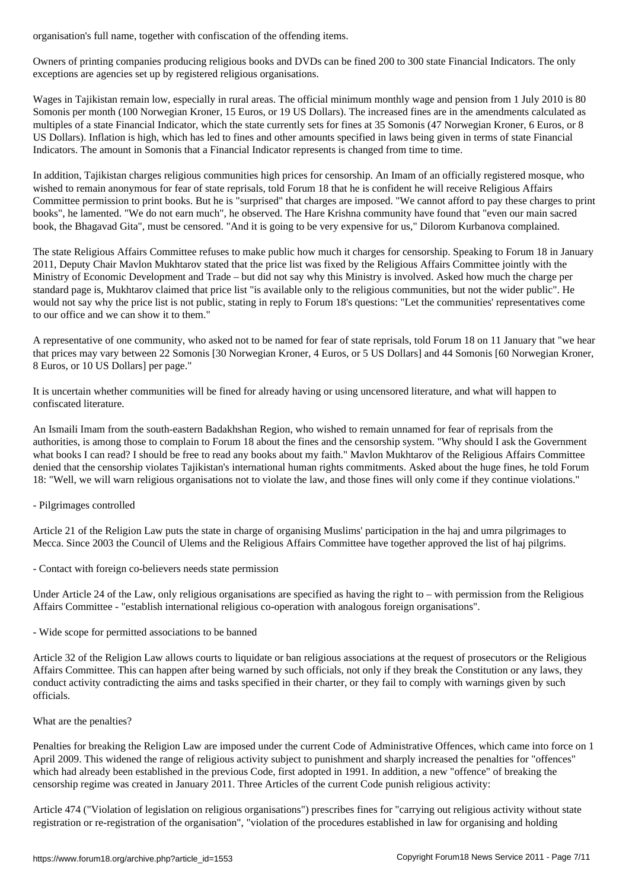Owners of printing companies producing religious books and DVDs can be fined 200 to 300 state Financial Indicators. The only exceptions are agencies set up by registered religious organisations.

Wages in Tajikistan remain low, especially in rural areas. The official minimum monthly wage and pension from 1 July 2010 is 80 Somonis per month (100 Norwegian Kroner, 15 Euros, or 19 US Dollars). The increased fines are in the amendments calculated as multiples of a state Financial Indicator, which the state currently sets for fines at 35 Somonis (47 Norwegian Kroner, 6 Euros, or 8 US Dollars). Inflation is high, which has led to fines and other amounts specified in laws being given in terms of state Financial Indicators. The amount in Somonis that a Financial Indicator represents is changed from time to time.

In addition, Tajikistan charges religious communities high prices for censorship. An Imam of an officially registered mosque, who wished to remain anonymous for fear of state reprisals, told Forum 18 that he is confident he will receive Religious Affairs Committee permission to print books. But he is "surprised" that charges are imposed. "We cannot afford to pay these charges to print books", he lamented. "We do not earn much", he observed. The Hare Krishna community have found that "even our main sacred book, the Bhagavad Gita", must be censored. "And it is going to be very expensive for us," Dilorom Kurbanova complained.

The state Religious Affairs Committee refuses to make public how much it charges for censorship. Speaking to Forum 18 in January 2011, Deputy Chair Mavlon Mukhtarov stated that the price list was fixed by the Religious Affairs Committee jointly with the Ministry of Economic Development and Trade – but did not say why this Ministry is involved. Asked how much the charge per standard page is, Mukhtarov claimed that price list "is available only to the religious communities, but not the wider public". He would not say why the price list is not public, stating in reply to Forum 18's questions: "Let the communities' representatives come to our office and we can show it to them."

A representative of one community, who asked not to be named for fear of state reprisals, told Forum 18 on 11 January that "we hear that prices may vary between 22 Somonis [30 Norwegian Kroner, 4 Euros, or 5 US Dollars] and 44 Somonis [60 Norwegian Kroner, 8 Euros, or 10 US Dollars] per page."

It is uncertain whether communities will be fined for already having or using uncensored literature, and what will happen to confiscated literature.

An Ismaili Imam from the south-eastern Badakhshan Region, who wished to remain unnamed for fear of reprisals from the authorities, is among those to complain to Forum 18 about the fines and the censorship system. "Why should I ask the Government what books I can read? I should be free to read any books about my faith." Mavlon Mukhtarov of the Religious Affairs Committee denied that the censorship violates Tajikistan's international human rights commitments. Asked about the huge fines, he told Forum 18: "Well, we will warn religious organisations not to violate the law, and those fines will only come if they continue violations."

- Pilgrimages controlled

Article 21 of the Religion Law puts the state in charge of organising Muslims' participation in the haj and umra pilgrimages to Mecca. Since 2003 the Council of Ulems and the Religious Affairs Committee have together approved the list of haj pilgrims.

- Contact with foreign co-believers needs state permission

Under Article 24 of the Law, only religious organisations are specified as having the right to – with permission from the Religious Affairs Committee - "establish international religious co-operation with analogous foreign organisations".

- Wide scope for permitted associations to be banned

Article 32 of the Religion Law allows courts to liquidate or ban religious associations at the request of prosecutors or the Religious Affairs Committee. This can happen after being warned by such officials, not only if they break the Constitution or any laws, they conduct activity contradicting the aims and tasks specified in their charter, or they fail to comply with warnings given by such officials.

#### What are the penalties?

Penalties for breaking the Religion Law are imposed under the current Code of Administrative Offences, which came into force on 1 April 2009. This widened the range of religious activity subject to punishment and sharply increased the penalties for "offences" which had already been established in the previous Code, first adopted in 1991. In addition, a new "offence" of breaking the censorship regime was created in January 2011. Three Articles of the current Code punish religious activity:

Article 474 ("Violation of legislation on religious organisations") prescribes fines for "carrying out religious activity without state registration or re-registration of the organisation", "violation of the procedures established in law for organising and holding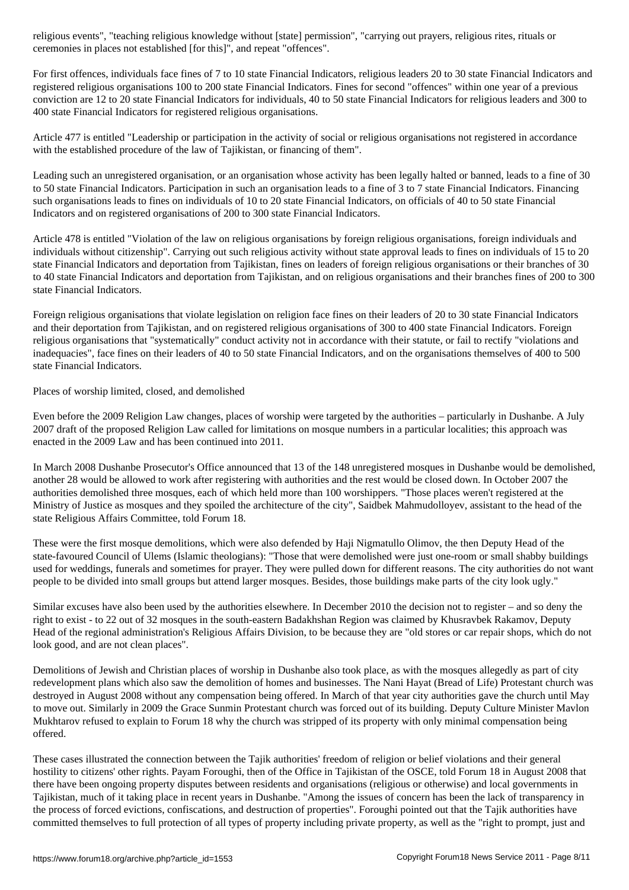ceremonies in places not established [for this]", and repeat "offences".

For first offences, individuals face fines of 7 to 10 state Financial Indicators, religious leaders 20 to 30 state Financial Indicators and registered religious organisations 100 to 200 state Financial Indicators. Fines for second "offences" within one year of a previous conviction are 12 to 20 state Financial Indicators for individuals, 40 to 50 state Financial Indicators for religious leaders and 300 to 400 state Financial Indicators for registered religious organisations.

Article 477 is entitled "Leadership or participation in the activity of social or religious organisations not registered in accordance with the established procedure of the law of Tajikistan, or financing of them".

Leading such an unregistered organisation, or an organisation whose activity has been legally halted or banned, leads to a fine of 30 to 50 state Financial Indicators. Participation in such an organisation leads to a fine of 3 to 7 state Financial Indicators. Financing such organisations leads to fines on individuals of 10 to 20 state Financial Indicators, on officials of 40 to 50 state Financial Indicators and on registered organisations of 200 to 300 state Financial Indicators.

Article 478 is entitled "Violation of the law on religious organisations by foreign religious organisations, foreign individuals and individuals without citizenship". Carrying out such religious activity without state approval leads to fines on individuals of 15 to 20 state Financial Indicators and deportation from Tajikistan, fines on leaders of foreign religious organisations or their branches of 30 to 40 state Financial Indicators and deportation from Tajikistan, and on religious organisations and their branches fines of 200 to 300 state Financial Indicators.

Foreign religious organisations that violate legislation on religion face fines on their leaders of 20 to 30 state Financial Indicators and their deportation from Tajikistan, and on registered religious organisations of 300 to 400 state Financial Indicators. Foreign religious organisations that "systematically" conduct activity not in accordance with their statute, or fail to rectify "violations and inadequacies", face fines on their leaders of 40 to 50 state Financial Indicators, and on the organisations themselves of 400 to 500 state Financial Indicators.

Places of worship limited, closed, and demolished

Even before the 2009 Religion Law changes, places of worship were targeted by the authorities – particularly in Dushanbe. A July 2007 draft of the proposed Religion Law called for limitations on mosque numbers in a particular localities; this approach was enacted in the 2009 Law and has been continued into 2011.

In March 2008 Dushanbe Prosecutor's Office announced that 13 of the 148 unregistered mosques in Dushanbe would be demolished, another 28 would be allowed to work after registering with authorities and the rest would be closed down. In October 2007 the authorities demolished three mosques, each of which held more than 100 worshippers. "Those places weren't registered at the Ministry of Justice as mosques and they spoiled the architecture of the city", Saidbek Mahmudolloyev, assistant to the head of the state Religious Affairs Committee, told Forum 18.

These were the first mosque demolitions, which were also defended by Haji Nigmatullo Olimov, the then Deputy Head of the state-favoured Council of Ulems (Islamic theologians): "Those that were demolished were just one-room or small shabby buildings used for weddings, funerals and sometimes for prayer. They were pulled down for different reasons. The city authorities do not want people to be divided into small groups but attend larger mosques. Besides, those buildings make parts of the city look ugly."

Similar excuses have also been used by the authorities elsewhere. In December 2010 the decision not to register – and so deny the right to exist - to 22 out of 32 mosques in the south-eastern Badakhshan Region was claimed by Khusravbek Rakamov, Deputy Head of the regional administration's Religious Affairs Division, to be because they are "old stores or car repair shops, which do not look good, and are not clean places".

Demolitions of Jewish and Christian places of worship in Dushanbe also took place, as with the mosques allegedly as part of city redevelopment plans which also saw the demolition of homes and businesses. The Nani Hayat (Bread of Life) Protestant church was destroyed in August 2008 without any compensation being offered. In March of that year city authorities gave the church until May to move out. Similarly in 2009 the Grace Sunmin Protestant church was forced out of its building. Deputy Culture Minister Mavlon Mukhtarov refused to explain to Forum 18 why the church was stripped of its property with only minimal compensation being offered.

These cases illustrated the connection between the Tajik authorities' freedom of religion or belief violations and their general hostility to citizens' other rights. Payam Foroughi, then of the Office in Tajikistan of the OSCE, told Forum 18 in August 2008 that there have been ongoing property disputes between residents and organisations (religious or otherwise) and local governments in Tajikistan, much of it taking place in recent years in Dushanbe. "Among the issues of concern has been the lack of transparency in the process of forced evictions, confiscations, and destruction of properties". Foroughi pointed out that the Tajik authorities have committed themselves to full protection of all types of property including private property, as well as the "right to prompt, just and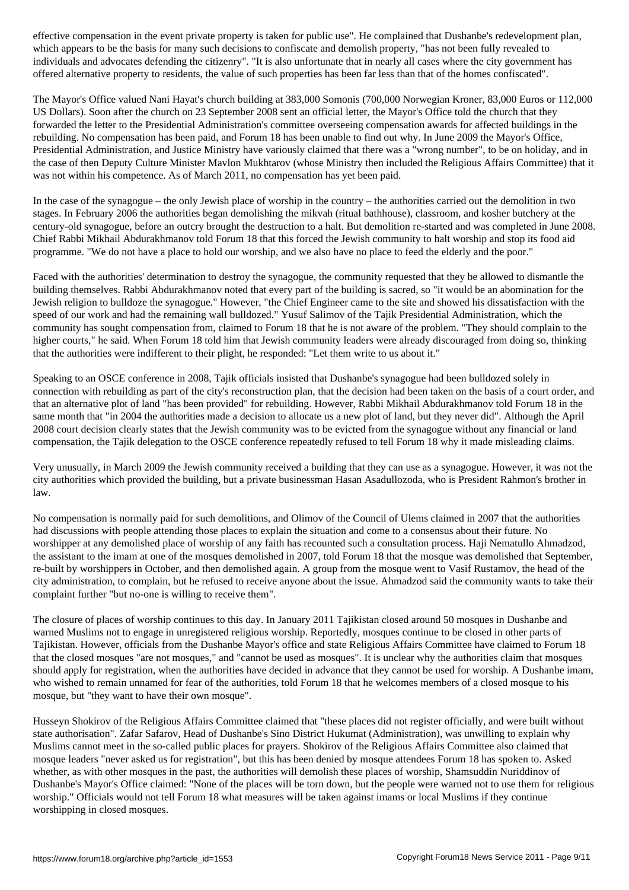which appears to be the basis for many such decisions to confidential property,  $\mathbf{h}$  has not been fully revealed to confiscate and decisions  $\mathbf{v}$ individuals and advocates defending the citizenry". "It is also unfortunate that in nearly all cases where the city government has offered alternative property to residents, the value of such properties has been far less than that of the homes confiscated".

The Mayor's Office valued Nani Hayat's church building at 383,000 Somonis (700,000 Norwegian Kroner, 83,000 Euros or 112,000 US Dollars). Soon after the church on 23 September 2008 sent an official letter, the Mayor's Office told the church that they forwarded the letter to the Presidential Administration's committee overseeing compensation awards for affected buildings in the rebuilding. No compensation has been paid, and Forum 18 has been unable to find out why. In June 2009 the Mayor's Office, Presidential Administration, and Justice Ministry have variously claimed that there was a "wrong number", to be on holiday, and in the case of then Deputy Culture Minister Mavlon Mukhtarov (whose Ministry then included the Religious Affairs Committee) that it was not within his competence. As of March 2011, no compensation has yet been paid.

In the case of the synagogue – the only Jewish place of worship in the country – the authorities carried out the demolition in two stages. In February 2006 the authorities began demolishing the mikvah (ritual bathhouse), classroom, and kosher butchery at the century-old synagogue, before an outcry brought the destruction to a halt. But demolition re-started and was completed in June 2008. Chief Rabbi Mikhail Abdurakhmanov told Forum 18 that this forced the Jewish community to halt worship and stop its food aid programme. "We do not have a place to hold our worship, and we also have no place to feed the elderly and the poor."

Faced with the authorities' determination to destroy the synagogue, the community requested that they be allowed to dismantle the building themselves. Rabbi Abdurakhmanov noted that every part of the building is sacred, so "it would be an abomination for the Jewish religion to bulldoze the synagogue." However, "the Chief Engineer came to the site and showed his dissatisfaction with the speed of our work and had the remaining wall bulldozed." Yusuf Salimov of the Tajik Presidential Administration, which the community has sought compensation from, claimed to Forum 18 that he is not aware of the problem. "They should complain to the higher courts," he said. When Forum 18 told him that Jewish community leaders were already discouraged from doing so, thinking that the authorities were indifferent to their plight, he responded: "Let them write to us about it."

Speaking to an OSCE conference in 2008, Tajik officials insisted that Dushanbe's synagogue had been bulldozed solely in connection with rebuilding as part of the city's reconstruction plan, that the decision had been taken on the basis of a court order, and that an alternative plot of land "has been provided" for rebuilding. However, Rabbi Mikhail Abdurakhmanov told Forum 18 in the same month that "in 2004 the authorities made a decision to allocate us a new plot of land, but they never did". Although the April 2008 court decision clearly states that the Jewish community was to be evicted from the synagogue without any financial or land compensation, the Tajik delegation to the OSCE conference repeatedly refused to tell Forum 18 why it made misleading claims.

Very unusually, in March 2009 the Jewish community received a building that they can use as a synagogue. However, it was not the city authorities which provided the building, but a private businessman Hasan Asadullozoda, who is President Rahmon's brother in law.

No compensation is normally paid for such demolitions, and Olimov of the Council of Ulems claimed in 2007 that the authorities had discussions with people attending those places to explain the situation and come to a consensus about their future. No worshipper at any demolished place of worship of any faith has recounted such a consultation process. Haji Nematullo Ahmadzod, the assistant to the imam at one of the mosques demolished in 2007, told Forum 18 that the mosque was demolished that September, re-built by worshippers in October, and then demolished again. A group from the mosque went to Vasif Rustamov, the head of the city administration, to complain, but he refused to receive anyone about the issue. Ahmadzod said the community wants to take their complaint further "but no-one is willing to receive them".

The closure of places of worship continues to this day. In January 2011 Tajikistan closed around 50 mosques in Dushanbe and warned Muslims not to engage in unregistered religious worship. Reportedly, mosques continue to be closed in other parts of Tajikistan. However, officials from the Dushanbe Mayor's office and state Religious Affairs Committee have claimed to Forum 18 that the closed mosques "are not mosques," and "cannot be used as mosques". It is unclear why the authorities claim that mosques should apply for registration, when the authorities have decided in advance that they cannot be used for worship. A Dushanbe imam, who wished to remain unnamed for fear of the authorities, told Forum 18 that he welcomes members of a closed mosque to his mosque, but "they want to have their own mosque".

Husseyn Shokirov of the Religious Affairs Committee claimed that "these places did not register officially, and were built without state authorisation". Zafar Safarov, Head of Dushanbe's Sino District Hukumat (Administration), was unwilling to explain why Muslims cannot meet in the so-called public places for prayers. Shokirov of the Religious Affairs Committee also claimed that mosque leaders "never asked us for registration", but this has been denied by mosque attendees Forum 18 has spoken to. Asked whether, as with other mosques in the past, the authorities will demolish these places of worship, Shamsuddin Nuriddinov of Dushanbe's Mayor's Office claimed: "None of the places will be torn down, but the people were warned not to use them for religious worship." Officials would not tell Forum 18 what measures will be taken against imams or local Muslims if they continue worshipping in closed mosques.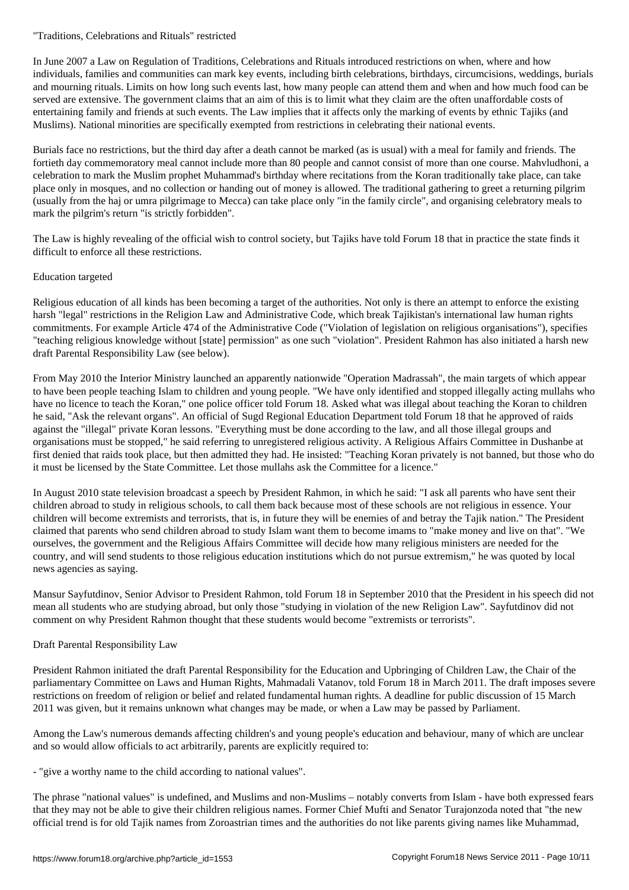In June 2007 a Law on Regulation of Traditions, Celebrations and Rituals introduced restrictions on when, where and how individuals, families and communities can mark key events, including birth celebrations, birthdays, circumcisions, weddings, burials and mourning rituals. Limits on how long such events last, how many people can attend them and when and how much food can be served are extensive. The government claims that an aim of this is to limit what they claim are the often unaffordable costs of entertaining family and friends at such events. The Law implies that it affects only the marking of events by ethnic Tajiks (and Muslims). National minorities are specifically exempted from restrictions in celebrating their national events.

Burials face no restrictions, but the third day after a death cannot be marked (as is usual) with a meal for family and friends. The fortieth day commemoratory meal cannot include more than 80 people and cannot consist of more than one course. Mahvludhoni, a celebration to mark the Muslim prophet Muhammad's birthday where recitations from the Koran traditionally take place, can take place only in mosques, and no collection or handing out of money is allowed. The traditional gathering to greet a returning pilgrim (usually from the haj or umra pilgrimage to Mecca) can take place only "in the family circle", and organising celebratory meals to mark the pilgrim's return "is strictly forbidden".

The Law is highly revealing of the official wish to control society, but Tajiks have told Forum 18 that in practice the state finds it difficult to enforce all these restrictions.

### Education targeted

Religious education of all kinds has been becoming a target of the authorities. Not only is there an attempt to enforce the existing harsh "legal" restrictions in the Religion Law and Administrative Code, which break Tajikistan's international law human rights commitments. For example Article 474 of the Administrative Code ("Violation of legislation on religious organisations"), specifies "teaching religious knowledge without [state] permission" as one such "violation". President Rahmon has also initiated a harsh new draft Parental Responsibility Law (see below).

From May 2010 the Interior Ministry launched an apparently nationwide "Operation Madrassah", the main targets of which appear to have been people teaching Islam to children and young people. "We have only identified and stopped illegally acting mullahs who have no licence to teach the Koran," one police officer told Forum 18. Asked what was illegal about teaching the Koran to children he said, "Ask the relevant organs". An official of Sugd Regional Education Department told Forum 18 that he approved of raids against the "illegal" private Koran lessons. "Everything must be done according to the law, and all those illegal groups and organisations must be stopped," he said referring to unregistered religious activity. A Religious Affairs Committee in Dushanbe at first denied that raids took place, but then admitted they had. He insisted: "Teaching Koran privately is not banned, but those who do it must be licensed by the State Committee. Let those mullahs ask the Committee for a licence."

In August 2010 state television broadcast a speech by President Rahmon, in which he said: "I ask all parents who have sent their children abroad to study in religious schools, to call them back because most of these schools are not religious in essence. Your children will become extremists and terrorists, that is, in future they will be enemies of and betray the Tajik nation." The President claimed that parents who send children abroad to study Islam want them to become imams to "make money and live on that". "We ourselves, the government and the Religious Affairs Committee will decide how many religious ministers are needed for the country, and will send students to those religious education institutions which do not pursue extremism," he was quoted by local news agencies as saying.

Mansur Sayfutdinov, Senior Advisor to President Rahmon, told Forum 18 in September 2010 that the President in his speech did not mean all students who are studying abroad, but only those "studying in violation of the new Religion Law". Sayfutdinov did not comment on why President Rahmon thought that these students would become "extremists or terrorists".

### Draft Parental Responsibility Law

President Rahmon initiated the draft Parental Responsibility for the Education and Upbringing of Children Law, the Chair of the parliamentary Committee on Laws and Human Rights, Mahmadali Vatanov, told Forum 18 in March 2011. The draft imposes severe restrictions on freedom of religion or belief and related fundamental human rights. A deadline for public discussion of 15 March 2011 was given, but it remains unknown what changes may be made, or when a Law may be passed by Parliament.

Among the Law's numerous demands affecting children's and young people's education and behaviour, many of which are unclear and so would allow officials to act arbitrarily, parents are explicitly required to:

- "give a worthy name to the child according to national values".

The phrase "national values" is undefined, and Muslims and non-Muslims – notably converts from Islam - have both expressed fears that they may not be able to give their children religious names. Former Chief Mufti and Senator Turajonzoda noted that "the new official trend is for old Tajik names from Zoroastrian times and the authorities do not like parents giving names like Muhammad,